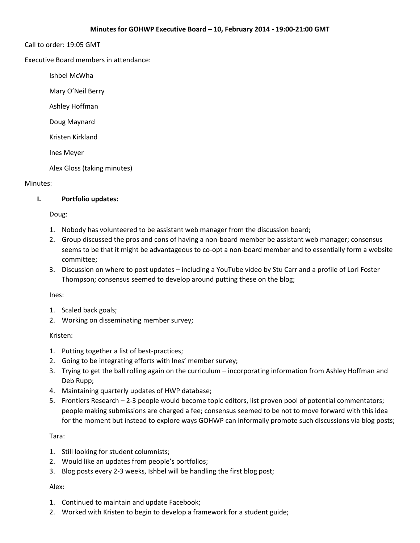#### Call to order: 19:05 GMT

Executive Board members in attendance:

Ishbel McWha

Mary O'Neil Berry

Ashley Hoffman

Doug Maynard

Kristen Kirkland

Ines Meyer

Alex Gloss (taking minutes)

#### Minutes:

### **I. Portfolio updates:**

Doug:

- 1. Nobody has volunteered to be assistant web manager from the discussion board;
- 2. Group discussed the pros and cons of having a non-board member be assistant web manager; consensus seems to be that it might be advantageous to co-opt a non-board member and to essentially form a website committee;
- 3. Discussion on where to post updates including a YouTube video by Stu Carr and a profile of Lori Foster Thompson; consensus seemed to develop around putting these on the blog;

#### Ines:

- 1. Scaled back goals;
- 2. Working on disseminating member survey;

#### Kristen:

- 1. Putting together a list of best-practices;
- 2. Going to be integrating efforts with Ines' member survey;
- 3. Trying to get the ball rolling again on the curriculum incorporating information from Ashley Hoffman and Deb Rupp;
- 4. Maintaining quarterly updates of HWP database;
- 5. Frontiers Research 2-3 people would become topic editors, list proven pool of potential commentators; people making submissions are charged a fee; consensus seemed to be not to move forward with this idea for the moment but instead to explore ways GOHWP can informally promote such discussions via blog posts;

#### Tara:

- 1. Still looking for student columnists;
- 2. Would like an updates from people's portfolios;
- 3. Blog posts every 2-3 weeks, Ishbel will be handling the first blog post;

#### Alex:

- 1. Continued to maintain and update Facebook;
- 2. Worked with Kristen to begin to develop a framework for a student guide;